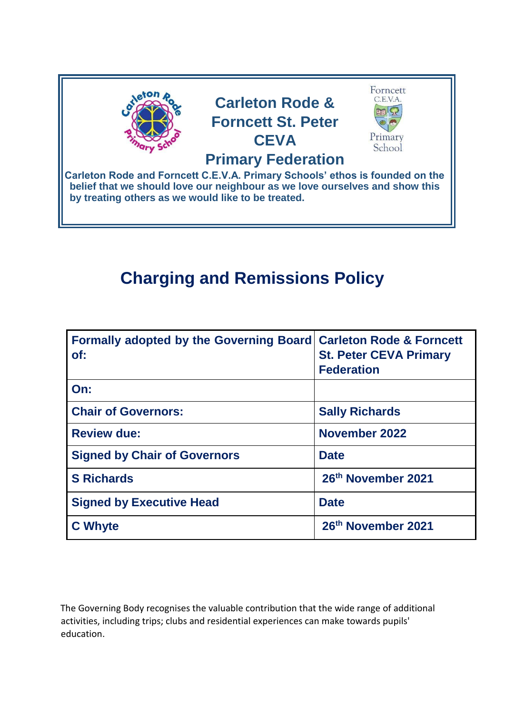

# **Charging and Remissions Policy**

| <b>Formally adopted by the Governing Board</b><br>of: | <b>Carleton Rode &amp; Forncett</b><br><b>St. Peter CEVA Primary</b><br><b>Federation</b> |
|-------------------------------------------------------|-------------------------------------------------------------------------------------------|
| On:                                                   |                                                                                           |
| <b>Chair of Governors:</b>                            | <b>Sally Richards</b>                                                                     |
| <b>Review due:</b>                                    | <b>November 2022</b>                                                                      |
| <b>Signed by Chair of Governors</b>                   | <b>Date</b>                                                                               |
| <b>S</b> Richards                                     | 26th November 2021                                                                        |
| <b>Signed by Executive Head</b>                       | <b>Date</b>                                                                               |
| <b>C</b> Whyte                                        | 26th November 2021                                                                        |

The Governing Body recognises the valuable contribution that the wide range of additional activities, including trips; clubs and residential experiences can make towards pupils' education.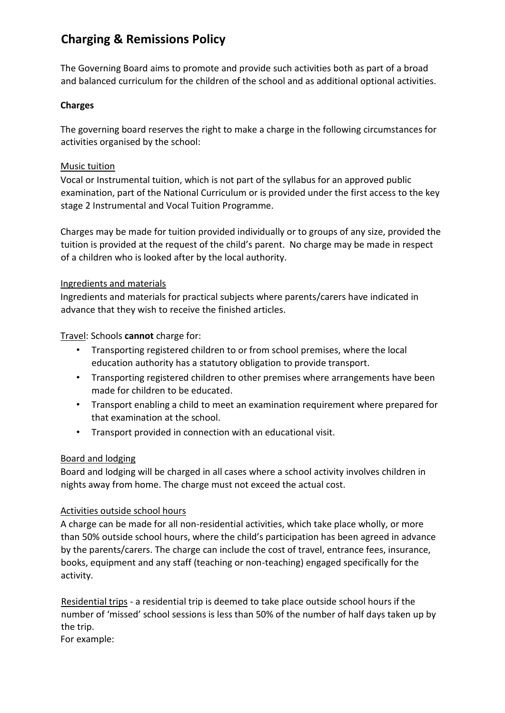# **Charging & Remissions Policy**

The Governing Board aims to promote and provide such activities both as part of a broad and balanced curriculum for the children of the school and as additional optional activities.

## **Charges**

The governing board reserves the right to make a charge in the following circumstances for activities organised by the school:

### Music tuition

Vocal or Instrumental tuition, which is not part of the syllabus for an approved public examination, part of the National Curriculum or is provided under the first access to the key stage 2 Instrumental and Vocal Tuition Programme.

Charges may be made for tuition provided individually or to groups of any size, provided the tuition is provided at the request of the child's parent. No charge may be made in respect of a children who is looked after by the local authority.

#### Ingredients and materials

Ingredients and materials for practical subjects where parents/carers have indicated in advance that they wish to receive the finished articles.

Travel: Schools **cannot** charge for:

- Transporting registered children to or from school premises, where the local education authority has a statutory obligation to provide transport.
- Transporting registered children to other premises where arrangements have been made for children to be educated.
- Transport enabling a child to meet an examination requirement where prepared for that examination at the school.
- Transport provided in connection with an educational visit.

## Board and lodging

Board and lodging will be charged in all cases where a school activity involves children in nights away from home. The charge must not exceed the actual cost.

#### Activities outside school hours

A charge can be made for all non-residential activities, which take place wholly, or more than 50% outside school hours, where the child's participation has been agreed in advance by the parents/carers. The charge can include the cost of travel, entrance fees, insurance, books, equipment and any staff (teaching or non-teaching) engaged specifically for the activity.

Residential trips - a residential trip is deemed to take place outside school hours if the number of 'missed' school sessions is less than 50% of the number of half days taken up by the trip.

For example: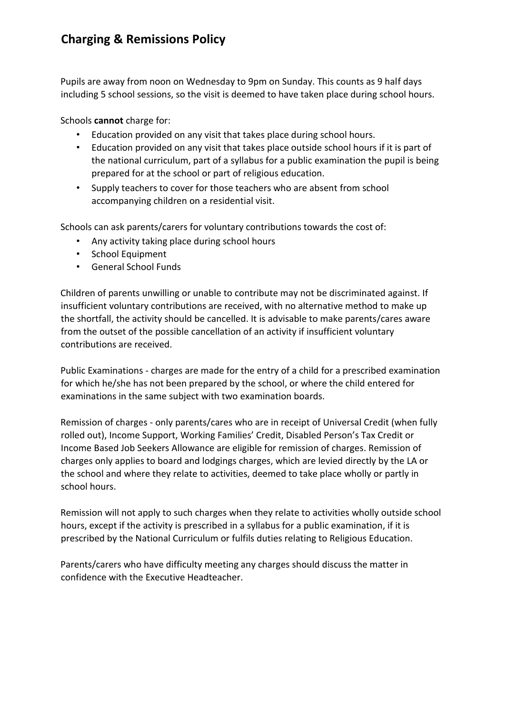# **Charging & Remissions Policy**

Pupils are away from noon on Wednesday to 9pm on Sunday. This counts as 9 half days including 5 school sessions, so the visit is deemed to have taken place during school hours.

Schools **cannot** charge for:

- Education provided on any visit that takes place during school hours.
- Education provided on any visit that takes place outside school hours if it is part of the national curriculum, part of a syllabus for a public examination the pupil is being prepared for at the school or part of religious education.
- Supply teachers to cover for those teachers who are absent from school accompanying children on a residential visit.

Schools can ask parents/carers for voluntary contributions towards the cost of:

- Any activity taking place during school hours
- School Equipment
- General School Funds

Children of parents unwilling or unable to contribute may not be discriminated against. If insufficient voluntary contributions are received, with no alternative method to make up the shortfall, the activity should be cancelled. It is advisable to make parents/cares aware from the outset of the possible cancellation of an activity if insufficient voluntary contributions are received.

Public Examinations - charges are made for the entry of a child for a prescribed examination for which he/she has not been prepared by the school, or where the child entered for examinations in the same subject with two examination boards.

Remission of charges - only parents/cares who are in receipt of Universal Credit (when fully rolled out), Income Support, Working Families' Credit, Disabled Person's Tax Credit or Income Based Job Seekers Allowance are eligible for remission of charges. Remission of charges only applies to board and lodgings charges, which are levied directly by the LA or the school and where they relate to activities, deemed to take place wholly or partly in school hours.

Remission will not apply to such charges when they relate to activities wholly outside school hours, except if the activity is prescribed in a syllabus for a public examination, if it is prescribed by the National Curriculum or fulfils duties relating to Religious Education.

Parents/carers who have difficulty meeting any charges should discuss the matter in confidence with the Executive Headteacher.